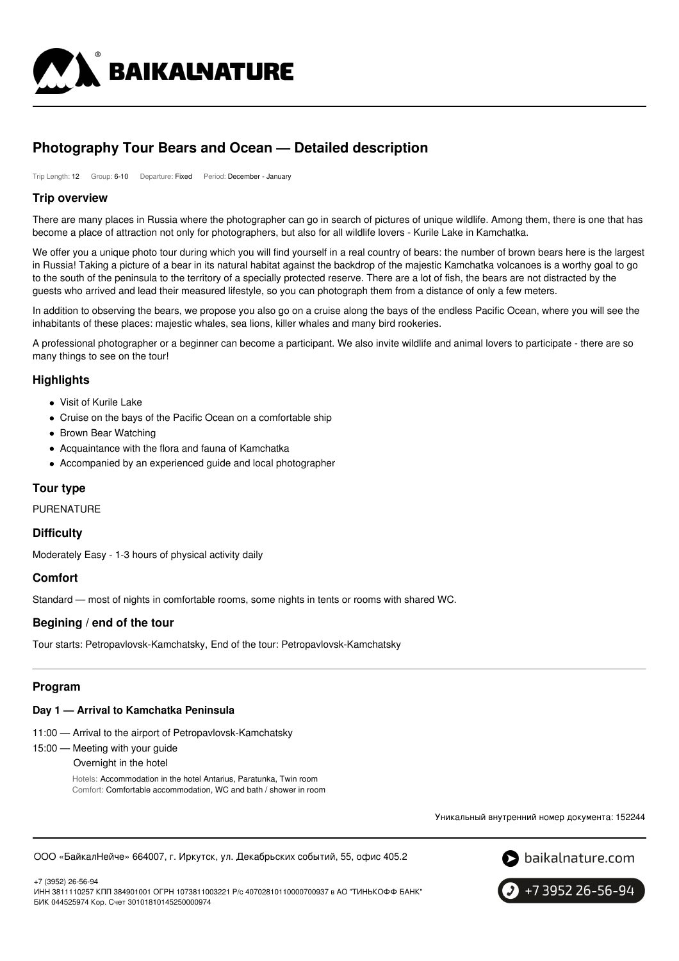

# **Photography Tour Bears and Ocean — Detailed description**

Trip Length: 12 Group: 6-10 Departure: Fixed Period: December - January

### **Trip overview**

There are many places in Russia where the photographer can go in search of pictures of unique wildlife. Among them, there is one that has become a place of attraction not only for photographers, but also for all wildlife lovers - Kurile Lake in Kamchatka.

We offer you a unique photo tour during which you will find yourself in a real country of bears: the number of brown bears here is the largest in Russia! Taking a picture of a bear in its natural habitat against the backdrop of the majestic Kamchatka volcanoes is a worthy goal to go to the south of the peninsula to the territory of a specially protected reserve. There are a lot of fish, the bears are not distracted by the guests who arrived and lead their measured lifestyle, so you can photograph them from a distance of only a few meters.

In addition to observing the bears, we propose you also go on a cruise along the bays of the endless Pacific Ocean, where you will see the inhabitants of these places: majestic whales, sea lions, killer whales and many bird rookeries.

A professional photographer or a beginner can become a participant. We also invite wildlife and animal lovers to participate - there are so many things to see on the tour!

### **Highlights**

- Visit of Kurile Lake
- Cruise on the bays of the Pacific Ocean on a comfortable ship
- Brown Bear Watching
- Acquaintance with the flora and fauna of Kamchatka
- Accompanied by an experienced guide and local photographer

### **Tour type**

PURENATURE

### **Difficulty**

Moderately Easy - 1-3 hours of physical activity daily

### **Comfort**

Standard — most of nights in comfortable rooms, some nights in tents or rooms with shared WC.

### **Begining / end of the tour**

Tour starts: Petropavlovsk-Kamchatsky, End of the tour: Petropavlovsk-Kamchatsky

### **Program**

#### **Day 1 — Arrival to Kamchatka Peninsula**

- 11:00 Arrival to the airport of Petropavlovsk-Kamchatsky
- 15:00 Meeting with your guide

Overnight in the hotel

Hotels: Accommodation in the hotel Antarius, Paratunka, Twin room Comfort: Comfortable accommodation, WC and bath / shower in room

Уникальный внутренний номер документа: 152244

ООО «БайкалНейче» 664007, г. Иркутск, ул. Декабрьских событий, 55, офис 405.2



+7 (3952) 26-56-94 ИНН 3811110257 КПП 384901001 ОГРН 1073811003221 Р/с 40702810110000700937 в АО "ТИНЬКОФФ БАНК" БИК 044525974 Кор. Счет 30101810145250000974

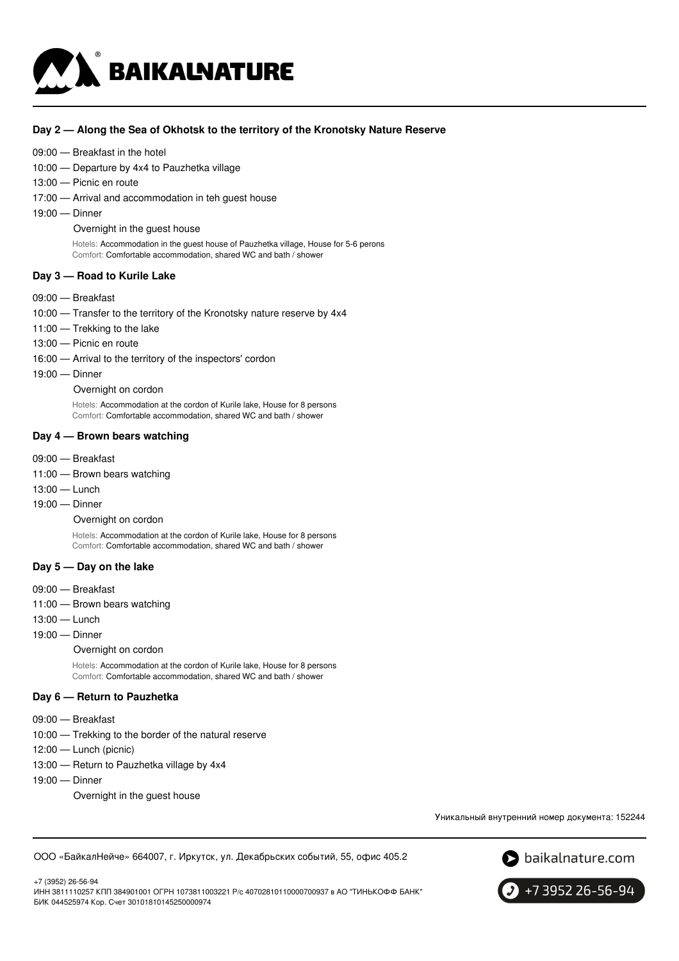

### **Day 2 — Along the Sea of Okhotsk to the territory of the Kronotsky Nature Reserve**

#### 09:00 — Breakfast in the hotel

10:00 — Departure by 4x4 to Pauzhetka village

- 13:00 Picnic en route
- 17:00 Arrival and accommodation in teh guest house
- 19:00 Dinner

Overnight in the guest house

Hotels: Accommodation in the guest house of Pauzhetka village, House for 5-6 perons Comfort: Comfortable accommodation, shared WC and bath / shower

#### **Day 3 — Road to Kurile Lake**

- 09:00 Breakfast
- 10:00 Transfer to the territory of the Kronotsky nature reserve by 4x4
- 11:00 Trekking to the lake
- 13:00 Picnic en route
- 16:00 Arrival to the territory of the inspectors' cordon
- 19:00 Dinner

#### Overnight on cordon

Hotels: Accommodation at the cordon of Kurile lake, House for 8 persons Comfort: Comfortable accommodation, shared WC and bath / shower

#### **Day 4 — Brown bears watching**

- 09:00 Breakfast
- 11:00 Brown bears watching
- 13:00 Lunch
- 19:00 Dinner

Overnight on cordon

Hotels: Accommodation at the cordon of Kurile lake, House for 8 persons Comfort: Comfortable accommodation, shared WC and bath / shower

### **Day 5 — Day on the lake**

- 09:00 Breakfast
- 11:00 Brown bears watching
- 13:00 Lunch
- 19:00 Dinner

#### Overnight on cordon

Hotels: Accommodation at the cordon of Kurile lake, House for 8 persons Comfort: Comfortable accommodation, shared WC and bath / shower

#### **Day 6 — Return to Pauzhetka**

- 09:00 Breakfast
- 10:00 Trekking to the border of the natural reserve
- 12:00 Lunch (picnic)
- 13:00 Return to Pauzhetka village by 4x4
- 19:00 Dinner

+7 (3952) 26-56-94

Overnight in the guest house

Уникальный внутренний номер документа: 152244

ООО «БайкалНейче» 664007, г. Иркутск, ул. Декабрьских событий, 55, офис 405.2





ИНН 3811110257 КПП 384901001 ОГРН 1073811003221 Р/с 40702810110000700937 в АО "ТИНЬКОФФ БАНК" БИК 044525974 Кор. Счет 30101810145250000974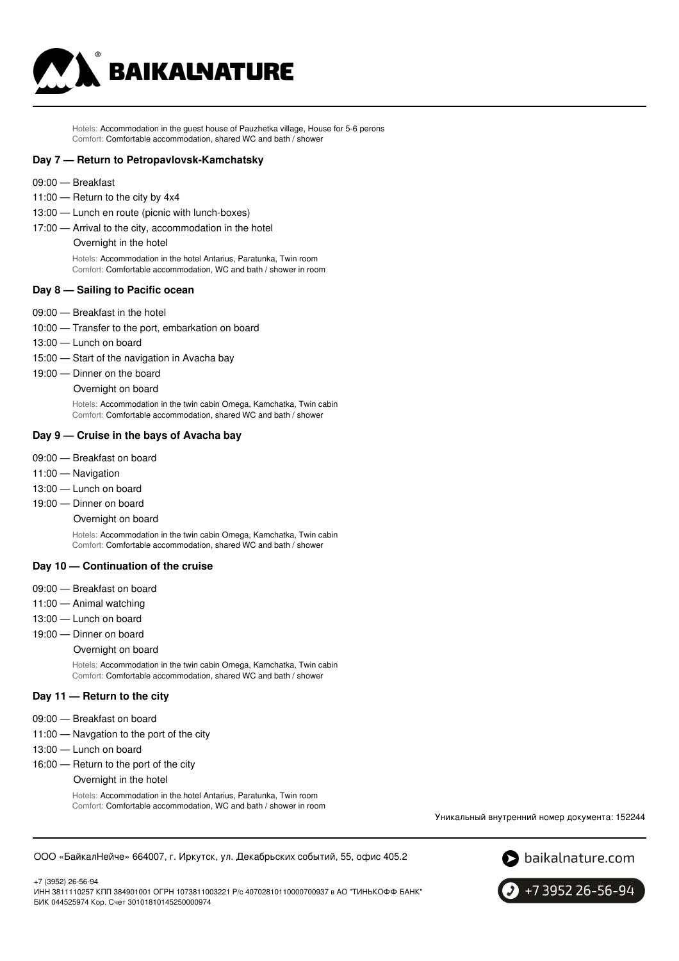

Hotels: Accommodation in the guest house of Pauzhetka village, House for 5-6 perons Comfort: Comfortable accommodation, shared WC and bath / shower

#### **Day 7 — Return to Petropavlovsk-Kamchatsky**

- 09:00 Breakfast
- 11:00 Return to the city by 4x4
- 13:00 Lunch en route (picnic with lunch-boxes)
- 17:00 Arrival to the city, accommodation in the hotel

#### Overnight in the hotel

Hotels: Accommodation in the hotel Antarius, Paratunka, Twin room Comfort: Comfortable accommodation, WC and bath / shower in room

#### **Day 8 — Sailing to Pacific ocean**

- 09:00 Breakfast in the hotel
- 10:00 Transfer to the port, embarkation on board
- 13:00 Lunch on board
- 15:00 Start of the navigation in Avacha bay
- 19:00 Dinner on the board
	- Overnight on board

Hotels: Accommodation in the twin cabin Omega, Kamchatka, Twin cabin Comfort: Comfortable accommodation, shared WC and bath / shower

#### **Day 9 — Cruise in the bays of Avacha bay**

- 09:00 Breakfast on board
- 11:00 Navigation
- 13:00 Lunch on board
- 19:00 Dinner on board

#### Overnight on board

Hotels: Accommodation in the twin cabin Omega, Kamchatka, Twin cabin Comfort: Comfortable accommodation, shared WC and bath / shower

#### **Day 10 — Continuation of the cruise**

- 09:00 Breakfast on board
- 11:00 Animal watching
- 13:00 Lunch on board
- 19:00 Dinner on board

#### Overnight on board

Hotels: Accommodation in the twin cabin Omega, Kamchatka, Twin cabin Comfort: Comfortable accommodation, shared WC and bath / shower

#### **Day 11 — Return to the city**

- 09:00 Breakfast on board
- 11:00 Navgation to the port of the city
- 13:00 Lunch on board
- 16:00 Return to the port of the city
	- Overnight in the hotel

Hotels: Accommodation in the hotel Antarius, Paratunka, Twin room Comfort: Comfortable accommodation, WC and bath / shower in room

Уникальный внутренний номер документа: 152244

ООО «БайкалНейче» 664007, г. Иркутск, ул. Декабрьских событий, 55, офис 405.2



+7 (3952) 26-56-94 ИНН 3811110257 КПП 384901001 ОГРН 1073811003221 Р/с 40702810110000700937 в АО "ТИНЬКОФФ БАНК" БИК 044525974 Кор. Счет 30101810145250000974

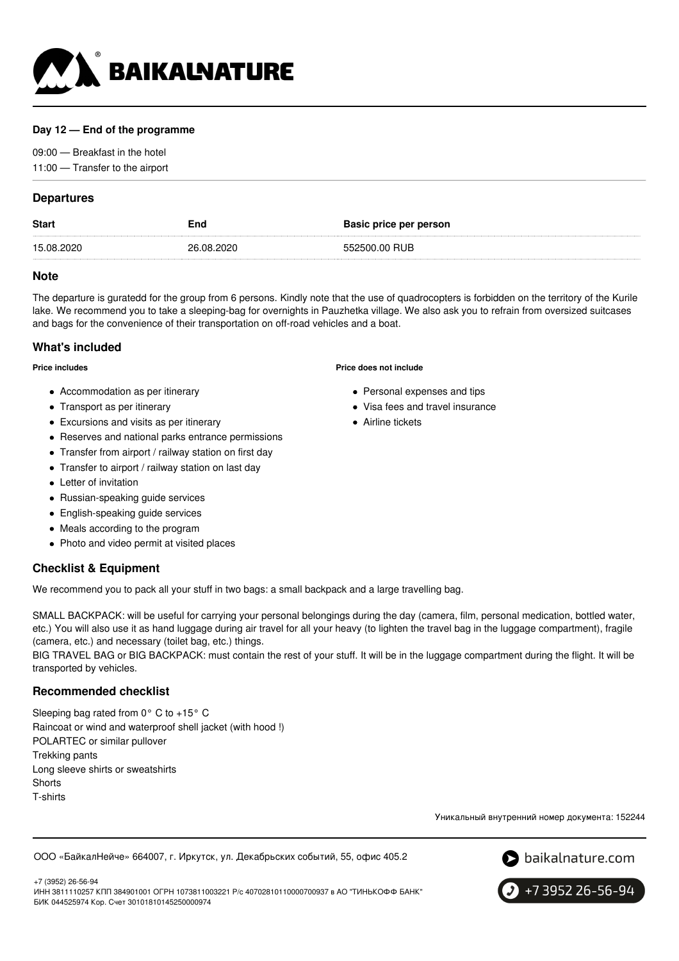

### **Day 12 — End of the programme**

09:00 — Breakfast in the hotel 11:00 — Transfer to the airport

### **Departures**

| <b>Start</b> | End        | <b>Basic price per person</b> |
|--------------|------------|-------------------------------|
| 15.08.2020   | 26.08.2020 | 552500.00 BUB                 |

### **Note**

The departure is guratedd for the group from 6 persons. Kindly note that the use of quadrocopters is forbidden on the territory of the Kurile lake. We recommend you to take a sleeping-bag for overnights in Pauzhetka village. We also ask you to refrain from oversized suitcases and bags for the convenience of their transportation on off-road vehicles and a boat.

### **What's included**

#### **Price includes**

- Accommodation as per itinerary
- Transport as per itinerary
- Excursions and visits as per itinerary
- Reserves and national parks entrance permissions
- Transfer from airport / railway station on first day
- Transfer to airport / railway station on last day
- Letter of invitation
- Russian-speaking guide services
- English-speaking guide services
- Meals according to the program
- Photo and video permit at visited places

## **Checklist & Equipment**

We recommend you to pack all your stuff in two bags: a small backpack and a large travelling bag.

SMALL BACKPACK: will be useful for carrying your personal belongings during the day (camera, film, personal medication, bottled water, etc.) You will also use it as hand luggage during air travel for all your heavy (to lighten the travel bag in the luggage compartment), fragile (camera, etc.) and necessary (toilet bag, etc.) things.

BIG TRAVEL BAG or BIG BACKPACK: must contain the rest of your stuff. It will be in the luggage compartment during the flight. It will be transported by vehicles.

### **Recommended checklist**

Sleeping bag rated from 0° C to +15° C Raincoat or wind and waterproof shell jacket (with hood !) POLARTEC or similar pullover Trekking pants Long sleeve shirts or sweatshirts **Shorts** T-shirts

Уникальный внутренний номер документа: 152244

#### ООО «БайкалНейче» 664007, г. Иркутск, ул. Декабрьских событий, 55, офис 405.2



+7 (3952) 26-56-94 ИНН 3811110257 КПП 384901001 ОГРН 1073811003221 Р/с 40702810110000700937 в АО "ТИНЬКОФФ БАНК" БИК 044525974 Кор. Счет 30101810145250000974



#### **Price does not include**

- Personal expenses and tips
- Visa fees and travel insurance
- **Airline tickets**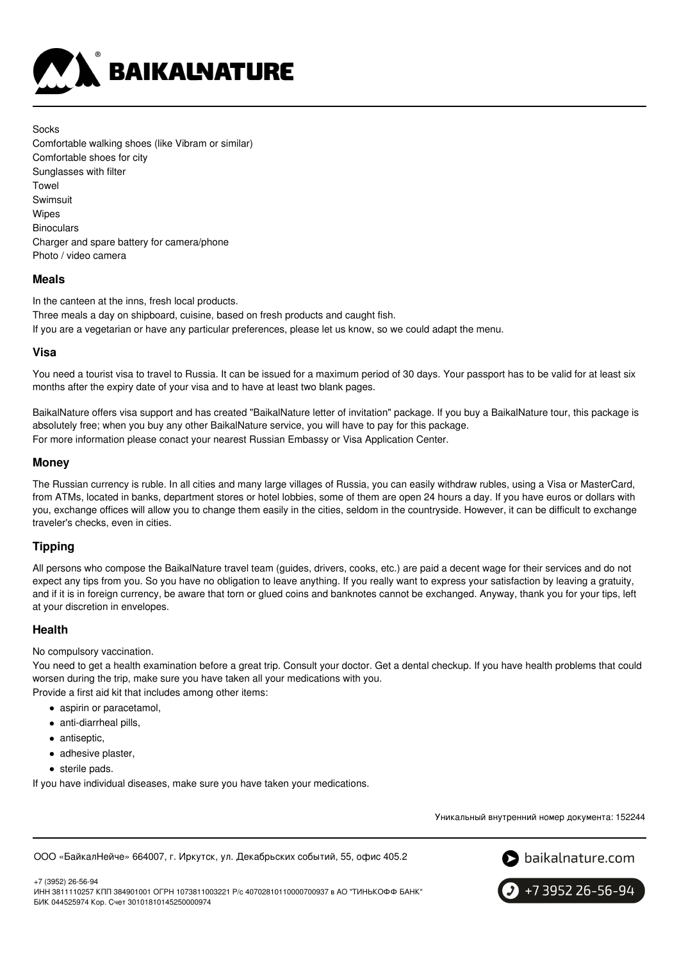

Socks Comfortable walking shoes (like Vibram or similar) Comfortable shoes for city Sunglasses with filter Towel Swimsuit **Wipes Binoculars** Charger and spare battery for camera/phone Photo / video camera

### **Meals**

In the canteen at the inns, fresh local products. Three meals a day on shipboard, cuisine, based on fresh products and caught fish. If you are a vegetarian or have any particular preferences, please let us know, so we could adapt the menu.

### **Visa**

You need a tourist visa to travel to Russia. It can be issued for a maximum period of 30 days. Your passport has to be valid for at least six months after the expiry date of your visa and to have at least two blank pages.

BaikalNature offers visa support and has created "BaikalNature letter of invitation" package. If you buy a BaikalNature tour, this package is absolutely free; when you buy any other BaikalNature service, you will have to pay for this package. For more information please conact your nearest Russian Embassy or Visa Application Center.

### **Money**

The Russian currency is ruble. In all cities and many large villages of Russia, you can easily withdraw rubles, using a Visa or MasterCard, from ATMs, located in banks, department stores or hotel lobbies, some of them are open 24 hours a day. If you have euros or dollars with you, exchange offices will allow you to change them easily in the cities, seldom in the countryside. However, it can be difficult to exchange traveler's checks, even in cities.

### **Tipping**

All persons who compose the BaikalNature travel team (guides, drivers, cooks, etc.) are paid a decent wage for their services and do not expect any tips from you. So you have no obligation to leave anything. If you really want to express your satisfaction by leaving a gratuity, and if it is in foreign currency, be aware that torn or glued coins and banknotes cannot be exchanged. Anyway, thank you for your tips, left at your discretion in envelopes.

### **Health**

No compulsory vaccination.

You need to get a health examination before a great trip. Consult your doctor. Get a dental checkup. If you have health problems that could worsen during the trip, make sure you have taken all your medications with you.

Provide a first aid kit that includes among other items:

- aspirin or paracetamol,
- anti-diarrheal pills,
- antiseptic,
- adhesive plaster.
- sterile pads.

If you have individual diseases, make sure you have taken your medications.

Уникальный внутренний номер документа: 152244

ООО «БайкалНейче» 664007, г. Иркутск, ул. Декабрьских событий, 55, офис 405.2